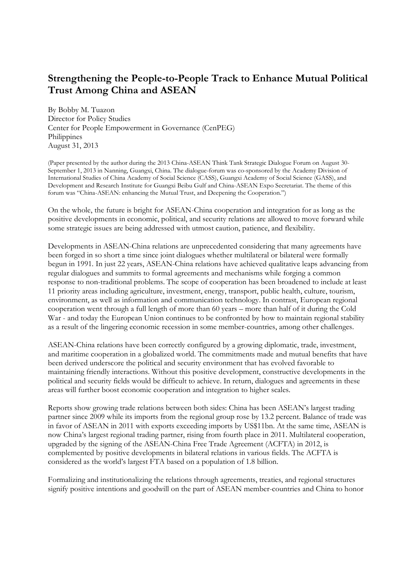## **Strengthening the People-to-People Track to Enhance Mutual Political Trust Among China and ASEAN**

By Bobby M. Tuazon Director for Policy Studies Center for People Empowerment in Governance (CenPEG) **Philippines** August 31, 2013

(Paper presented by the author during the 2013 China-ASEAN Think Tank Strategic Dialogue Forum on August 30- September 1, 2013 in Nanning, Guangxi, China. The dialogue-forum was co-sponsored by the Academy Division of International Studies of China Academy of Social Science (CASS), Guangxi Academy of Social Science (GASS), and Development and Research Institute for Guangxi Beibu Gulf and China-ASEAN Expo Secretariat. The theme of this forum was "China-ASEAN: enhancing the Mutual Trust, and Deepening the Cooperation.")

On the whole, the future is bright for ASEAN-China cooperation and integration for as long as the positive developments in economic, political, and security relations are allowed to move forward while some strategic issues are being addressed with utmost caution, patience, and flexibility.

Developments in ASEAN-China relations are unprecedented considering that many agreements have been forged in so short a time since joint dialogues whether multilateral or bilateral were formally begun in 1991. In just 22 years, ASEAN-China relations have achieved qualitative leaps advancing from regular dialogues and summits to formal agreements and mechanisms while forging a common response to non-traditional problems. The scope of cooperation has been broadened to include at least 11 priority areas including agriculture, investment, energy, transport, public health, culture, tourism, environment, as well as information and communication technology. In contrast, European regional cooperation went through a full length of more than 60 years – more than half of it during the Cold War - and today the European Union continues to be confronted by how to maintain regional stability as a result of the lingering economic recession in some member-countries, among other challenges.

ASEAN-China relations have been correctly configured by a growing diplomatic, trade, investment, and maritime cooperation in a globalized world. The commitments made and mutual benefits that have been derived underscore the political and security environment that has evolved favorable to maintaining friendly interactions. Without this positive development, constructive developments in the political and security fields would be difficult to achieve. In return, dialogues and agreements in these areas will further boost economic cooperation and integration to higher scales.

Reports show growing trade relations between both sides: China has been ASEAN's largest trading partner since 2009 while its imports from the regional group rose by 13.2 percent. Balance of trade was in favor of ASEAN in 2011 with exports exceeding imports by US\$11bn. At the same time, ASEAN is now China's largest regional trading partner, rising from fourth place in 2011. Multilateral cooperation, upgraded by the signing of the ASEAN-China Free Trade Agreement (ACFTA) in 2012, is complemented by positive developments in bilateral relations in various fields. The ACFTA is considered as the world's largest FTA based on a population of 1.8 billion.

Formalizing and institutionalizing the relations through agreements, treaties, and regional structures signify positive intentions and goodwill on the part of ASEAN member-countries and China to honor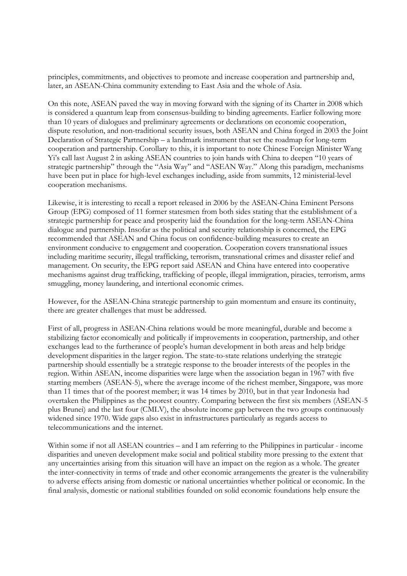principles, commitments, and objectives to promote and increase cooperation and partnership and, later, an ASEAN-China community extending to East Asia and the whole of Asia.

On this note, ASEAN paved the way in moving forward with the signing of its Charter in 2008 which is considered a quantum leap from consensus-building to binding agreements. Earlier following more than 10 years of dialogues and preliminary agreements or declarations on economic cooperation, dispute resolution, and non-traditional security issues, both ASEAN and China forged in 2003 the Joint Declaration of Strategic Partnership – a landmark instrument that set the roadmap for long-term cooperation and partnership. Corollary to this, it is important to note Chinese Foreign Minister Wang Yi's call last August 2 in asking ASEAN countries to join hands with China to deepen "10 years of strategic partnership" through the "Asia Way" and "ASEAN Way." Along this paradigm, mechanisms have been put in place for high-level exchanges including, aside from summits, 12 ministerial-level cooperation mechanisms.

Likewise, it is interesting to recall a report released in 2006 by the ASEAN-China Eminent Persons Group (EPG) composed of 11 former statesmen from both sides stating that the establishment of a strategic partnership for peace and prosperity laid the foundation for the long-term ASEAN-China dialogue and partnership. Insofar as the political and security relationship is concerned, the EPG recommended that ASEAN and China focus on confidence-building measures to create an environment conducive to engagement and cooperation. Cooperation covers transnational issues including maritime security, illegal trafficking, terrorism, transnational crimes and disaster relief and management. On security, the EPG report said ASEAN and China have entered into cooperative mechanisms against drug trafficking, trafficking of people, illegal immigration, piracies, terrorism, arms smuggling, money laundering, and intertional economic crimes.

However, for the ASEAN-China strategic partnership to gain momentum and ensure its continuity, there are greater challenges that must be addressed.

First of all, progress in ASEAN-China relations would be more meaningful, durable and become a stabilizing factor economically and politically if improvements in cooperation, partnership, and other exchanges lead to the furtherance of people's human development in both areas and help bridge development disparities in the larger region. The state-to-state relations underlying the strategic partnership should essentially be a strategic response to the broader interests of the peoples in the region. Within ASEAN, income disparities were large when the association began in 1967 with five starting members (ASEAN-5), where the average income of the richest member, Singapore, was more than 11 times that of the poorest member; it was 14 times by 2010, but in that year Indonesia had overtaken the Philippines as the poorest country. Comparing between the first six members (ASEAN-5 plus Brunei) and the last four (CMLV), the absolute income gap between the two groups continuously widened since 1970. Wide gaps also exist in infrastructures particularly as regards access to telecommunications and the internet.

Within some if not all ASEAN countries – and I am referring to the Philippines in particular - income disparities and uneven development make social and political stability more pressing to the extent that any uncertainties arising from this situation will have an impact on the region as a whole. The greater the inter-connectivity in terms of trade and other economic arrangements the greater is the vulnerability to adverse effects arising from domestic or national uncertainties whether political or economic. In the final analysis, domestic or national stabilities founded on solid economic foundations help ensure the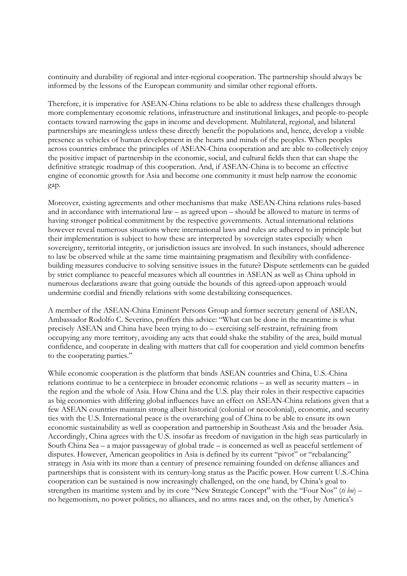continuity and durability of regional and inter-regional cooperation. The partnership should always be informed by the lessons of the European community and similar other regional efforts.

Therefore, it is imperative for ASEAN-China relations to be able to address these challenges through more complementary economic relations, infrastructure and institutional linkages, and people-to-people contacts toward narrowing the gaps in income and development. Multilateral, regional, and bilateral partnerships are meaningless unless these directly benefit the populations and, hence, develop a visible presence as vehicles of human development in the hearts and minds of the peoples. When peoples across countries embrace the principles of ASEAN-China cooperation and are able to collectively enjoy the positive impact of partnership in the economic, social, and cultural fields then that can shape the definitive strategic roadmap of this cooperation. And, if ASEAN-China is to become an effective engine of economic growth for Asia and become one community it must help narrow the economic gap.

Moreover, existing agreements and other mechanisms that make ASEAN-China relations rules-based and in accordance with international law – as agreed upon – should be allowed to mature in terms of having stronger political commitment by the respective governments. Actual international relations however reveal numerous situations where international laws and rules are adhered to in principle but their implementation is subject to how these are interpreted by sovereign states especially when sovereignty, territorial integrity, or jurisdiction issues are involved. In such instances, should adherence to law be observed while at the same time maintaining pragmatism and flexibility with confidencebuilding measures conducive to solving sensitive issues in the future? Dispute settlements can be guided by strict compliance to peaceful measures which all countries in ASEAN as well as China uphold in numerous declarations aware that going outside the bounds of this agreed-upon approach would undermine cordial and friendly relations with some destabilizing consequences.

A member of the ASEAN-China Eminent Persons Group and former secretary general of ASEAN, Ambassador Rodolfo C. Severino, proffers this advice: "What can be done in the meantime is what precisely ASEAN and China have been trying to do – exercising self-restraint, refraining from occupying any more territory, avoiding any acts that could shake the stability of the area, build mutual confidence, and cooperate in dealing with matters that call for cooperation and yield common benefits to the cooperating parties."

While economic cooperation is the platform that binds ASEAN countries and China, U.S.-China relations continue to be a centerpiece in broader economic relations – as well as security matters – in the region and the whole of Asia. How China and the U.S. play their roles in their respective capacities as big economies with differing global influences have an effect on ASEAN-China relations given that a few ASEAN countries maintain strong albeit historical (colonial or neocolonial), economic, and security ties with the U.S. International peace is the overarching goal of China to be able to ensure its own economic sustainability as well as cooperation and partnership in Southeast Asia and the broader Asia. Accordingly, China agrees with the U.S. insofar as freedom of navigation in the high seas particularly in South China Sea – a major passageway of global trade – is concerned as well as peaceful settlement of disputes. However, American geopolitics in Asia is defined by its current "pivot" or "rebalancing" strategy in Asia with its more than a century of presence remaining founded on defense alliances and partnerships that is consistent with its century-long status as the Pacific power. How current U.S.-China cooperation can be sustained is now increasingly challenged, on the one hand, by China's goal to strengthen its maritime system and by its core "New Strategic Concept" with the "Four Nos" (*ti bu*) – no hegemonism, no power politics, no alliances, and no arms races and, on the other, by America's